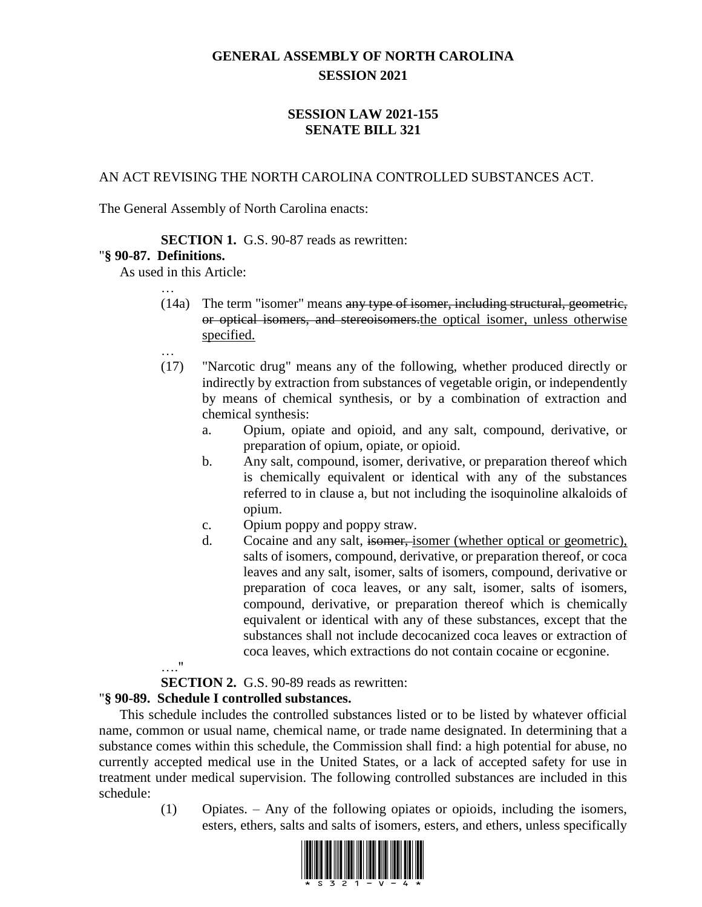# **GENERAL ASSEMBLY OF NORTH CAROLINA SESSION 2021**

## **SESSION LAW 2021-155 SENATE BILL 321**

AN ACT REVISING THE NORTH CAROLINA CONTROLLED SUBSTANCES ACT.

The General Assembly of North Carolina enacts:

#### **SECTION 1.** G.S. 90-87 reads as rewritten:

#### "**§ 90-87. Definitions.**

…

As used in this Article:

- (14a) The term "isomer" means any type of isomer, including structural, geometric, or optical isomers, and stereoisomers.the optical isomer, unless otherwise specified.
- (17) "Narcotic drug" means any of the following, whether produced directly or indirectly by extraction from substances of vegetable origin, or independently by means of chemical synthesis, or by a combination of extraction and chemical synthesis:
	- a. Opium, opiate and opioid, and any salt, compound, derivative, or preparation of opium, opiate, or opioid.
	- b. Any salt, compound, isomer, derivative, or preparation thereof which is chemically equivalent or identical with any of the substances referred to in clause a, but not including the isoquinoline alkaloids of opium.
	- c. Opium poppy and poppy straw.
	- d. Cocaine and any salt, isomer, isomer (whether optical or geometric), salts of isomers, compound, derivative, or preparation thereof, or coca leaves and any salt, isomer, salts of isomers, compound, derivative or preparation of coca leaves, or any salt, isomer, salts of isomers, compound, derivative, or preparation thereof which is chemically equivalent or identical with any of these substances, except that the substances shall not include decocanized coca leaves or extraction of coca leaves, which extractions do not contain cocaine or ecgonine.

…."

## **SECTION 2.** G.S. 90-89 reads as rewritten:

## "**§ 90-89. Schedule I controlled substances.**

This schedule includes the controlled substances listed or to be listed by whatever official name, common or usual name, chemical name, or trade name designated. In determining that a substance comes within this schedule, the Commission shall find: a high potential for abuse, no currently accepted medical use in the United States, or a lack of accepted safety for use in treatment under medical supervision. The following controlled substances are included in this schedule:

> (1) Opiates. – Any of the following opiates or opioids, including the isomers, esters, ethers, salts and salts of isomers, esters, and ethers, unless specifically

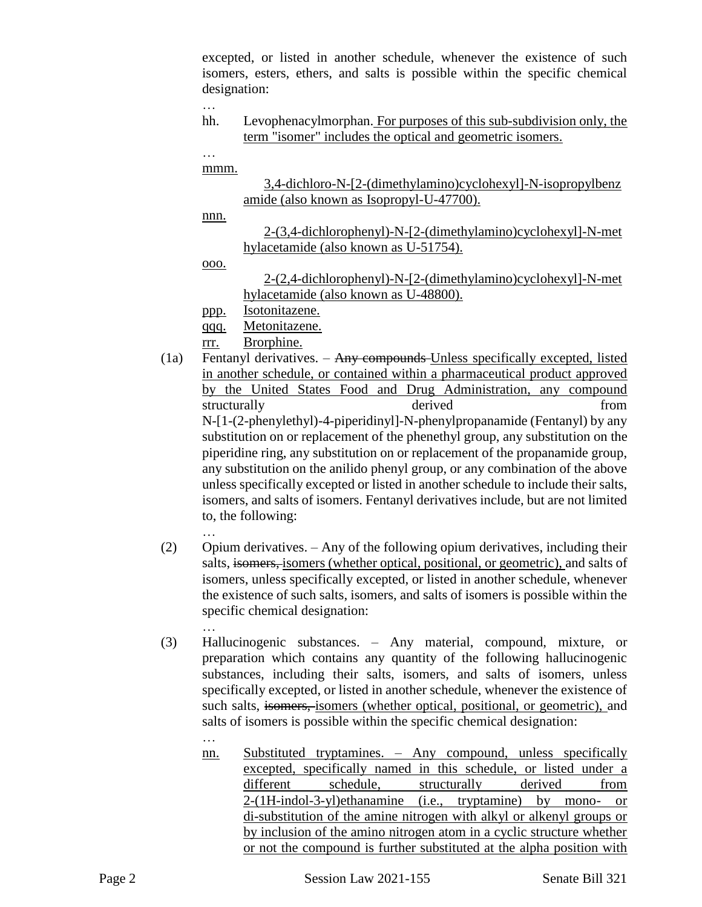excepted, or listed in another schedule, whenever the existence of such isomers, esters, ethers, and salts is possible within the specific chemical designation:

…

- hh. Levophenacylmorphan. For purposes of this sub-subdivision only, the term "isomer" includes the optical and geometric isomers.
- … mmm.

3,4-dichloro-N-[2-(dimethylamino)cyclohexyl]-N-isopropylbenz amide (also known as Isopropyl-U-47700).

nnn.

2-(3,4-dichlorophenyl)-N-[2-(dimethylamino)cyclohexyl]-N-met hylacetamide (also known as U-51754).

ooo.

2-(2,4-dichlorophenyl)-N-[2-(dimethylamino)cyclohexyl]-N-met hylacetamide (also known as U-48800).

ppp. Isotonitazene.

- qqq. Metonitazene.
- rrr. Brorphine.
- (1a) Fentanyl derivatives. Any compounds Unless specifically excepted, listed in another schedule, or contained within a pharmaceutical product approved by the United States Food and Drug Administration, any compound structurally derived from the derived from  $\mathbf{r}$ N-[1-(2-phenylethyl)-4-piperidinyl]-N-phenylpropanamide (Fentanyl) by any substitution on or replacement of the phenethyl group, any substitution on the piperidine ring, any substitution on or replacement of the propanamide group, any substitution on the anilido phenyl group, or any combination of the above unless specifically excepted or listed in another schedule to include their salts, isomers, and salts of isomers. Fentanyl derivatives include, but are not limited to, the following: …
- (2) Opium derivatives. Any of the following opium derivatives, including their salts, isomers, isomers (whether optical, positional, or geometric), and salts of isomers, unless specifically excepted, or listed in another schedule, whenever the existence of such salts, isomers, and salts of isomers is possible within the specific chemical designation:
	- …

…

- (3) Hallucinogenic substances. Any material, compound, mixture, or preparation which contains any quantity of the following hallucinogenic substances, including their salts, isomers, and salts of isomers, unless specifically excepted, or listed in another schedule, whenever the existence of such salts, isomers, isomers (whether optical, positional, or geometric), and salts of isomers is possible within the specific chemical designation:
	- nn. Substituted tryptamines. Any compound, unless specifically excepted, specifically named in this schedule, or listed under a different schedule, structurally derived from 2-(1H-indol-3-yl)ethanamine (i.e., tryptamine) by mono- or di-substitution of the amine nitrogen with alkyl or alkenyl groups or by inclusion of the amino nitrogen atom in a cyclic structure whether or not the compound is further substituted at the alpha position with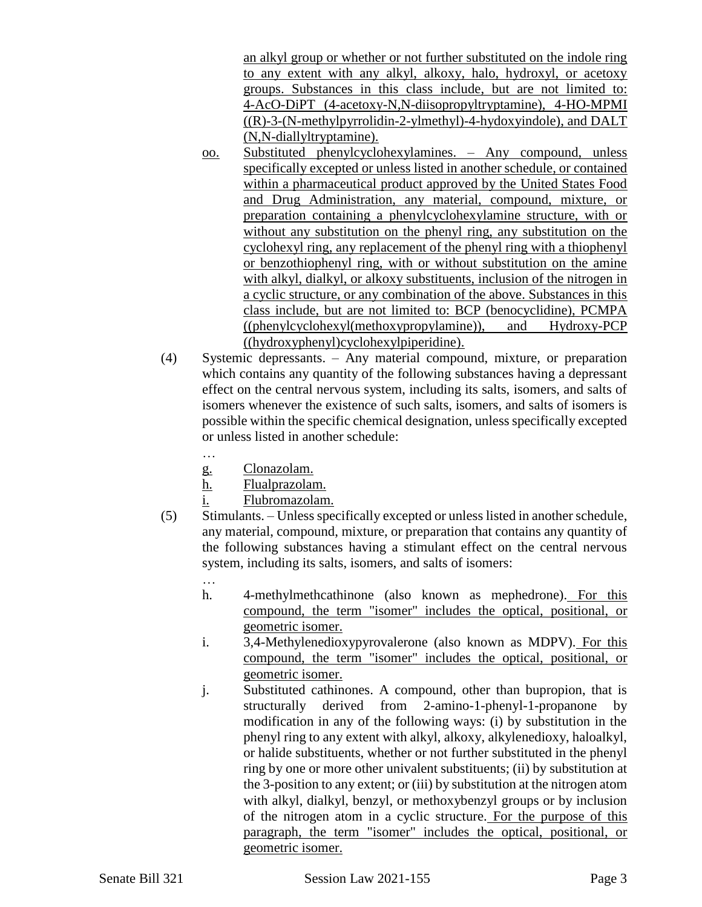an alkyl group or whether or not further substituted on the indole ring to any extent with any alkyl, alkoxy, halo, hydroxyl, or acetoxy groups. Substances in this class include, but are not limited to: 4-AcO-DiPT (4-acetoxy-N,N-diisopropyltryptamine), 4-HO-MPMI ((R)-3-(N-methylpyrrolidin-2-ylmethyl)-4-hydoxyindole), and DALT (N,N-diallyltryptamine).

- oo. Substituted phenylcyclohexylamines. Any compound, unless specifically excepted or unless listed in another schedule, or contained within a pharmaceutical product approved by the United States Food and Drug Administration, any material, compound, mixture, or preparation containing a phenylcyclohexylamine structure, with or without any substitution on the phenyl ring, any substitution on the cyclohexyl ring, any replacement of the phenyl ring with a thiophenyl or benzothiophenyl ring, with or without substitution on the amine with alkyl, dialkyl, or alkoxy substituents, inclusion of the nitrogen in a cyclic structure, or any combination of the above. Substances in this class include, but are not limited to: BCP (benocyclidine), PCMPA ((phenylcyclohexyl(methoxypropylamine)), and Hydroxy-PCP ((hydroxyphenyl)cyclohexylpiperidine).
- (4) Systemic depressants. Any material compound, mixture, or preparation which contains any quantity of the following substances having a depressant effect on the central nervous system, including its salts, isomers, and salts of isomers whenever the existence of such salts, isomers, and salts of isomers is possible within the specific chemical designation, unless specifically excepted or unless listed in another schedule:
	- …
	- g. Clonazolam.
	- h. Flualprazolam.
	- i. Flubromazolam.
- (5) Stimulants. Unless specifically excepted or unless listed in another schedule, any material, compound, mixture, or preparation that contains any quantity of the following substances having a stimulant effect on the central nervous system, including its salts, isomers, and salts of isomers:
	- …
	- h. 4-methylmethcathinone (also known as mephedrone). For this compound, the term "isomer" includes the optical, positional, or geometric isomer.
	- i. 3,4-Methylenedioxypyrovalerone (also known as MDPV). For this compound, the term "isomer" includes the optical, positional, or geometric isomer.
	- j. Substituted cathinones. A compound, other than bupropion, that is structurally derived from 2-amino-1-phenyl-1-propanone by modification in any of the following ways: (i) by substitution in the phenyl ring to any extent with alkyl, alkoxy, alkylenedioxy, haloalkyl, or halide substituents, whether or not further substituted in the phenyl ring by one or more other univalent substituents; (ii) by substitution at the 3-position to any extent; or (iii) by substitution at the nitrogen atom with alkyl, dialkyl, benzyl, or methoxybenzyl groups or by inclusion of the nitrogen atom in a cyclic structure. For the purpose of this paragraph, the term "isomer" includes the optical, positional, or geometric isomer.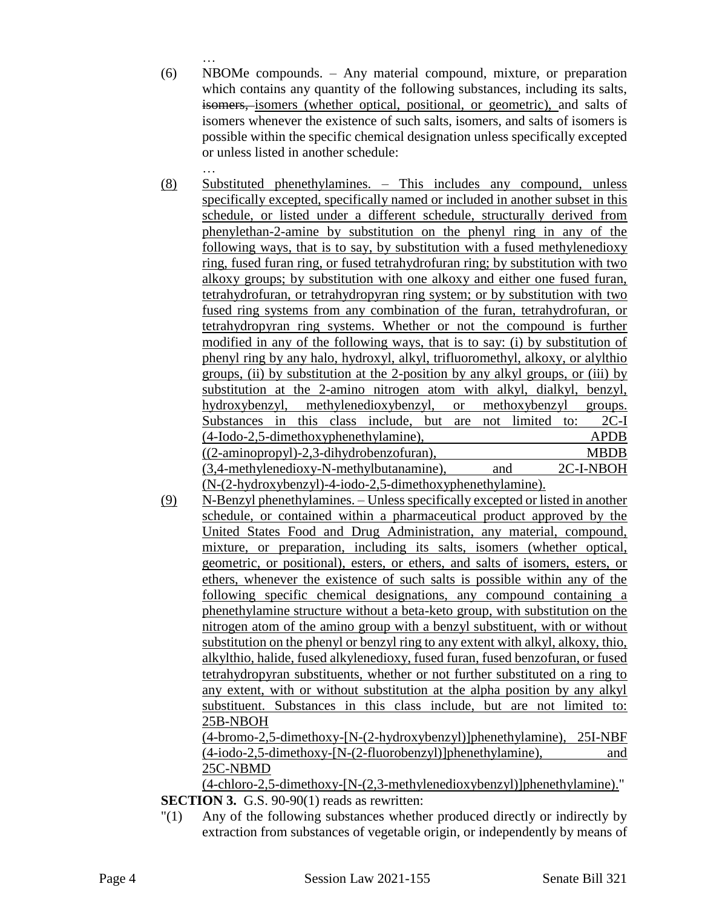… (6) NBOMe compounds. – Any material compound, mixture, or preparation which contains any quantity of the following substances, including its salts, isomers, isomers (whether optical, positional, or geometric), and salts of isomers whenever the existence of such salts, isomers, and salts of isomers is possible within the specific chemical designation unless specifically excepted or unless listed in another schedule:

- … (8) Substituted phenethylamines. – This includes any compound, unless specifically excepted, specifically named or included in another subset in this schedule, or listed under a different schedule, structurally derived from phenylethan-2-amine by substitution on the phenyl ring in any of the following ways, that is to say, by substitution with a fused methylenedioxy ring, fused furan ring, or fused tetrahydrofuran ring; by substitution with two alkoxy groups; by substitution with one alkoxy and either one fused furan, tetrahydrofuran, or tetrahydropyran ring system; or by substitution with two fused ring systems from any combination of the furan, tetrahydrofuran, or tetrahydropyran ring systems. Whether or not the compound is further modified in any of the following ways, that is to say: (i) by substitution of phenyl ring by any halo, hydroxyl, alkyl, trifluoromethyl, alkoxy, or alylthio groups, (ii) by substitution at the 2-position by any alkyl groups, or (iii) by substitution at the 2-amino nitrogen atom with alkyl, dialkyl, benzyl, hydroxybenzyl, methylenedioxybenzyl, or methoxybenzyl groups. Substances in this class include, but are not limited to: 2C-I (4-Iodo-2,5-dimethoxyphenethylamine), APDB ((2-aminopropyl)-2,3-dihydrobenzofuran), MBDB (3,4-methylenedioxy-N-methylbutanamine), and 2C-I-NBOH (N-(2-hydroxybenzyl)-4-iodo-2,5-dimethoxyphenethylamine).
- (9) N-Benzyl phenethylamines. Unless specifically excepted or listed in another schedule, or contained within a pharmaceutical product approved by the United States Food and Drug Administration, any material, compound, mixture, or preparation, including its salts, isomers (whether optical, geometric, or positional), esters, or ethers, and salts of isomers, esters, or ethers, whenever the existence of such salts is possible within any of the following specific chemical designations, any compound containing a phenethylamine structure without a beta-keto group, with substitution on the nitrogen atom of the amino group with a benzyl substituent, with or without substitution on the phenyl or benzyl ring to any extent with alkyl, alkoxy, thio, alkylthio, halide, fused alkylenedioxy, fused furan, fused benzofuran, or fused tetrahydropyran substituents, whether or not further substituted on a ring to any extent, with or without substitution at the alpha position by any alkyl substituent. Substances in this class include, but are not limited to: 25B-NBOH

(4-bromo-2,5-dimethoxy-[N-(2-hydroxybenzyl)]phenethylamine), 25I-NBF (4-iodo-2,5-dimethoxy-[N-(2-fluorobenzyl)]phenethylamine), and 25C-NBMD

(4-chloro-2,5-dimethoxy-[N-(2,3-methylenedioxybenzyl)]phenethylamine)." **SECTION 3.** G.S. 90-90(1) reads as rewritten:

"(1) Any of the following substances whether produced directly or indirectly by extraction from substances of vegetable origin, or independently by means of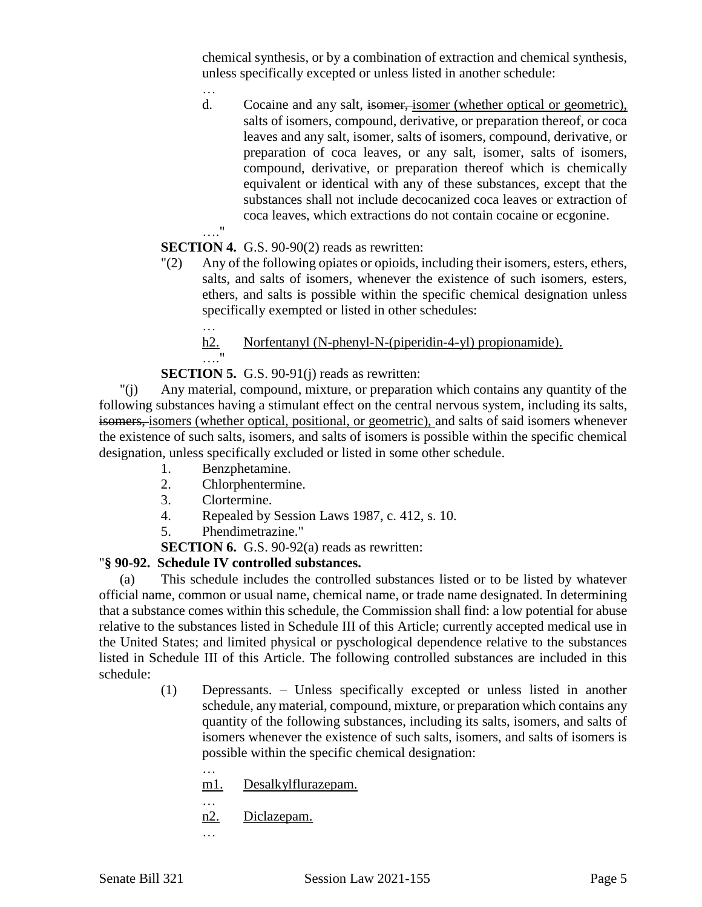chemical synthesis, or by a combination of extraction and chemical synthesis, unless specifically excepted or unless listed in another schedule:

d. Cocaine and any salt, isomer, isomer (whether optical or geometric), salts of isomers, compound, derivative, or preparation thereof, or coca leaves and any salt, isomer, salts of isomers, compound, derivative, or preparation of coca leaves, or any salt, isomer, salts of isomers, compound, derivative, or preparation thereof which is chemically equivalent or identical with any of these substances, except that the substances shall not include decocanized coca leaves or extraction of coca leaves, which extractions do not contain cocaine or ecgonine.

## **SECTION 4.** G.S. 90-90(2) reads as rewritten:

"(2) Any of the following opiates or opioids, including their isomers, esters, ethers, salts, and salts of isomers, whenever the existence of such isomers, esters, ethers, and salts is possible within the specific chemical designation unless specifically exempted or listed in other schedules:

… h2. Norfentanyl (N-phenyl-N-(piperidin-4-yl) propionamide). …."

## **SECTION 5.** G.S. 90-91(j) reads as rewritten:

"(j) Any material, compound, mixture, or preparation which contains any quantity of the following substances having a stimulant effect on the central nervous system, including its salts, isomers, isomers (whether optical, positional, or geometric), and salts of said isomers whenever the existence of such salts, isomers, and salts of isomers is possible within the specific chemical designation, unless specifically excluded or listed in some other schedule.

- 1. Benzphetamine.
- 2. Chlorphentermine.
- 3. Clortermine.

…

…."

- 4. Repealed by Session Laws 1987, c. 412, s. 10.
- 5. Phendimetrazine."
- **SECTION 6.** G.S. 90-92(a) reads as rewritten:

## "**§ 90-92. Schedule IV controlled substances.**

(a) This schedule includes the controlled substances listed or to be listed by whatever official name, common or usual name, chemical name, or trade name designated. In determining that a substance comes within this schedule, the Commission shall find: a low potential for abuse relative to the substances listed in Schedule III of this Article; currently accepted medical use in the United States; and limited physical or pyschological dependence relative to the substances listed in Schedule III of this Article. The following controlled substances are included in this schedule:

- (1) Depressants. Unless specifically excepted or unless listed in another schedule, any material, compound, mixture, or preparation which contains any quantity of the following substances, including its salts, isomers, and salts of isomers whenever the existence of such salts, isomers, and salts of isomers is possible within the specific chemical designation:
	- m1. Desalkylflurazepam.
	- … n2. Diclazepam.
	- …

…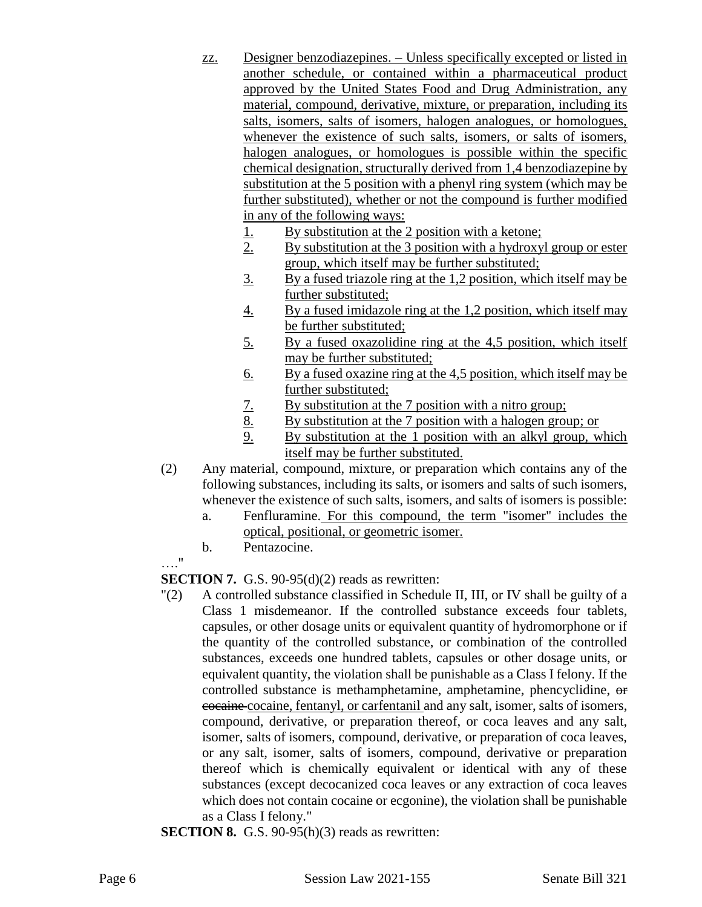- zz. Designer benzodiazepines. Unless specifically excepted or listed in another schedule, or contained within a pharmaceutical product approved by the United States Food and Drug Administration, any material, compound, derivative, mixture, or preparation, including its salts, isomers, salts of isomers, halogen analogues, or homologues, whenever the existence of such salts, isomers, or salts of isomers, halogen analogues, or homologues is possible within the specific chemical designation, structurally derived from 1,4 benzodiazepine by substitution at the 5 position with a phenyl ring system (which may be further substituted), whether or not the compound is further modified in any of the following ways:
	- 1. By substitution at the 2 position with a ketone;
	- 2. By substitution at the 3 position with a hydroxyl group or ester group, which itself may be further substituted;
	- 3. By a fused triazole ring at the 1,2 position, which itself may be further substituted;
	- 4. By a fused imidazole ring at the 1,2 position, which itself may be further substituted;
	- 5. By a fused oxazolidine ring at the 4,5 position, which itself may be further substituted;
	- 6. By a fused oxazine ring at the 4,5 position, which itself may be further substituted;
	- 7. By substitution at the 7 position with a nitro group;<br>8. By substitution at the 7 position with a halogen group
	- By substitution at the 7 position with a halogen group; or
	- 9. By substitution at the 1 position with an alkyl group, which itself may be further substituted.
- (2) Any material, compound, mixture, or preparation which contains any of the following substances, including its salts, or isomers and salts of such isomers, whenever the existence of such salts, isomers, and salts of isomers is possible:
	- a. Fenfluramine. For this compound, the term "isomer" includes the optical, positional, or geometric isomer.
	- b. Pentazocine.
- …."

**SECTION 7.** G.S. 90-95(d)(2) reads as rewritten:

- "(2) A controlled substance classified in Schedule II, III, or IV shall be guilty of a Class 1 misdemeanor. If the controlled substance exceeds four tablets, capsules, or other dosage units or equivalent quantity of hydromorphone or if the quantity of the controlled substance, or combination of the controlled substances, exceeds one hundred tablets, capsules or other dosage units, or equivalent quantity, the violation shall be punishable as a Class I felony. If the controlled substance is methamphetamine, amphetamine, phencyclidine, or cocaine cocaine, fentanyl, or carfentanil and any salt, isomer, salts of isomers, compound, derivative, or preparation thereof, or coca leaves and any salt, isomer, salts of isomers, compound, derivative, or preparation of coca leaves, or any salt, isomer, salts of isomers, compound, derivative or preparation thereof which is chemically equivalent or identical with any of these substances (except decocanized coca leaves or any extraction of coca leaves which does not contain cocaine or ecgonine), the violation shall be punishable as a Class I felony."
- **SECTION 8.** G.S. 90-95(h)(3) reads as rewritten: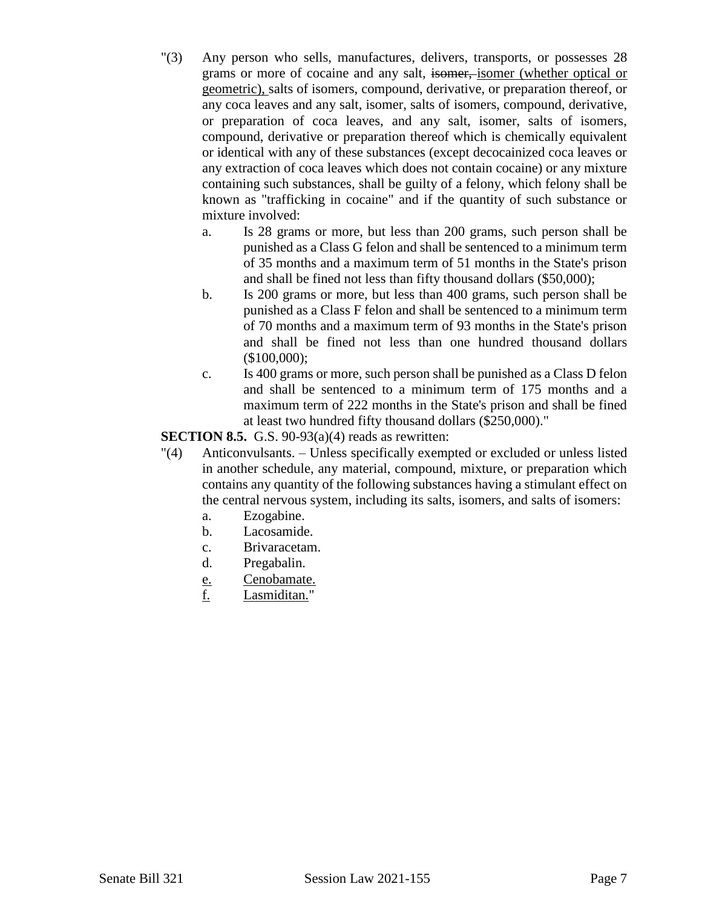- "(3) Any person who sells, manufactures, delivers, transports, or possesses 28 grams or more of cocaine and any salt, isomer, isomer (whether optical or geometric), salts of isomers, compound, derivative, or preparation thereof, or any coca leaves and any salt, isomer, salts of isomers, compound, derivative, or preparation of coca leaves, and any salt, isomer, salts of isomers, compound, derivative or preparation thereof which is chemically equivalent or identical with any of these substances (except decocainized coca leaves or any extraction of coca leaves which does not contain cocaine) or any mixture containing such substances, shall be guilty of a felony, which felony shall be known as "trafficking in cocaine" and if the quantity of such substance or mixture involved:
	- a. Is 28 grams or more, but less than 200 grams, such person shall be punished as a Class G felon and shall be sentenced to a minimum term of 35 months and a maximum term of 51 months in the State's prison and shall be fined not less than fifty thousand dollars (\$50,000);
	- b. Is 200 grams or more, but less than 400 grams, such person shall be punished as a Class F felon and shall be sentenced to a minimum term of 70 months and a maximum term of 93 months in the State's prison and shall be fined not less than one hundred thousand dollars (\$100,000);
	- c. Is 400 grams or more, such person shall be punished as a Class D felon and shall be sentenced to a minimum term of 175 months and a maximum term of 222 months in the State's prison and shall be fined at least two hundred fifty thousand dollars (\$250,000)."

**SECTION 8.5.** G.S. 90-93(a)(4) reads as rewritten:

- "(4) Anticonvulsants. Unless specifically exempted or excluded or unless listed in another schedule, any material, compound, mixture, or preparation which contains any quantity of the following substances having a stimulant effect on the central nervous system, including its salts, isomers, and salts of isomers:
	- a. Ezogabine.
	- b. Lacosamide.
	- c. Brivaracetam.
	- d. Pregabalin.
	- e. Cenobamate.
	- f. Lasmiditan."